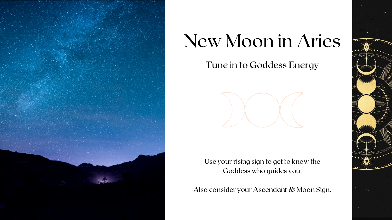

# New Moon in Aries Tune in to Goddess Energy



Use your rising sign to get to know the Goddess who guides you.

Also consider your Ascendant & Moon Sign.

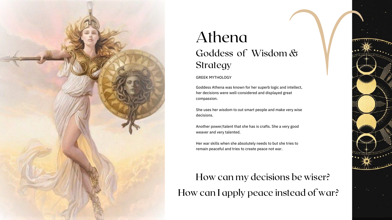#### GREEK MYTHOLOGY

Goddess Athena was known for her superb logic and intellect, her decisions were well-considered and displayed great compassion.

She uses her wisdom to out smart people and make very wise decisions.



### Athena Goddess of Wisdom & Strategy

Another power/talent that she has is crafts. She a very good weaver and very talented.

Her war skills when she absolutely needs to but she tries to remain peaceful and tries to create peace not war.

#### How can my decisions be wiser? How can I apply peace instead of war?

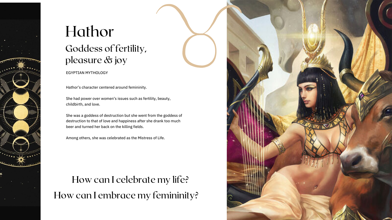Hathor's character centered around femininity.

She had power over women's issues such as fertility, beauty, childbirth, and love.



## Goddess of fertility, pleasure & joy Hathor

How can I celebrate my life? How can I embrace my femininity?



She was a goddess of destruction but she went from the goddess of destruction to that of love and happiness after she drank too much beer and turned her back on the killing fields.

Among others, she was celebrated as the Mistress of Life.

EGYPTIAN MYTHOLOGY